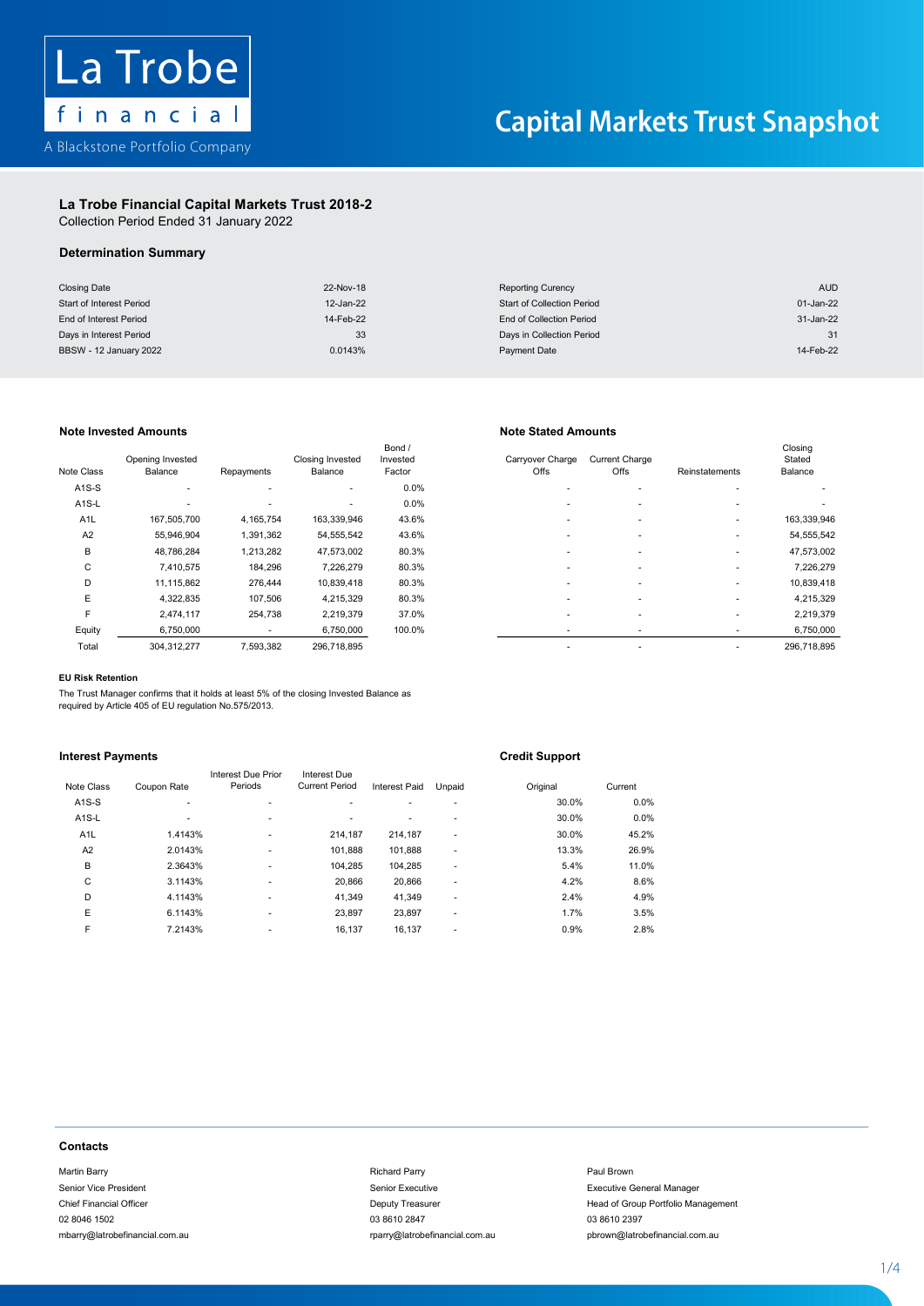

### La Trobe Financial Capital Markets Trust 2018-2 La Trobe Financial Capital Markets Trust 2018-2La Trope Financial Capital Markets

Collection Period Ended 31 January 2022 Collection Period Ended 31 January 2022

### $\mathcal{L}$  . The financial  $\mathcal{L}$  and  $\mathcal{L}$ Determination Summary Determination Summary

| <b>Closing Date</b>      | 22-Nov-18 | <b>Reporting Curency</b>          | <b>AUD</b> |
|--------------------------|-----------|-----------------------------------|------------|
| Start of Interest Period | 12-Jan-22 | <b>Start of Collection Period</b> | 01-Jan-22  |
| End of Interest Period   | 14-Feb-22 | End of Collection Period          | 31-Jan-22  |
| Days in Interest Period  | 33        | Days in Collection Period         | 31         |
| BBSW - 12 January 2022   | 0.0143%   | Payment Date                      | 14-Feb-22  |

## Note Invested Amounts **Note Invested Amounts** Note Stated Amounts

| Note Class         | Opening Invested<br>Balance | Repayments               | Closing Invested<br>Balance | Bond /<br>Invested<br>Factor | Carryover Charge<br>Offs | <b>Current Charge</b><br>Offs | Reinstatements | Closing<br>Stated<br>Balance |
|--------------------|-----------------------------|--------------------------|-----------------------------|------------------------------|--------------------------|-------------------------------|----------------|------------------------------|
| $A1S-S$            | ٠                           | ۰                        | ٠                           | 0.0%                         | ۰                        |                               |                |                              |
| A <sub>1</sub> S-L | ۰                           | $\overline{\phantom{a}}$ | ٠                           | 0.0%                         |                          |                               |                |                              |
| A <sub>1</sub> L   | 167,505,700                 | 4,165,754                | 163,339,946                 | 43.6%                        | ۰                        |                               |                | 163,339,946                  |
| A <sub>2</sub>     | 55,946,904                  | 1,391,362                | 54,555,542                  | 43.6%                        |                          |                               |                | 54,555,542                   |
| B                  | 48,786,284                  | 1,213,282                | 47,573,002                  | 80.3%                        | ۰                        |                               |                | 47,573,002                   |
| C                  | 7,410,575                   | 184,296                  | 7,226,279                   | 80.3%                        | ۰                        |                               |                | 7,226,279                    |
| D                  | 11,115,862                  | 276,444                  | 10,839,418                  | 80.3%                        |                          |                               | ٠              | 10,839,418                   |
| E                  | 4,322,835                   | 107,506                  | 4,215,329                   | 80.3%                        |                          |                               |                | 4,215,329                    |
| F                  | 2,474,117                   | 254,738                  | 2,219,379                   | 37.0%                        |                          |                               | ٠              | 2,219,379                    |
| Equity             | 6,750,000                   | ۰                        | 6,750,000                   | 100.0%                       |                          |                               | ٠              | 6,750,000                    |
| Total              | 304 312 277                 | 7 593 382                | 296 718 895                 |                              |                          |                               |                | 296 718 895                  |

| e Class            | Opening Invested<br>Balance | Repayments | <b>Closing Invested</b><br>Balance | Bond /<br>Invested<br>Factor | Carryover Charge<br>Offs | <b>Current Charge</b><br><b>Offs</b> | Reinstatements | Closing<br>Stated<br>Balance |
|--------------------|-----------------------------|------------|------------------------------------|------------------------------|--------------------------|--------------------------------------|----------------|------------------------------|
|                    |                             |            |                                    |                              |                          |                                      |                |                              |
| A <sub>1</sub> S-S | $\overline{\phantom{a}}$    | ۰          | ۰.                                 | 0.0%                         |                          |                                      |                |                              |
| A <sub>1</sub> S-L |                             | ۰          | ٠                                  | 0.0%                         | ۰                        | ۰                                    | ۰              |                              |
| A <sub>1</sub> L   | 167,505,700                 | 4,165,754  | 163,339,946                        | 43.6%                        |                          |                                      |                | 163,339,946                  |
| A2                 | 55,946,904                  | 1,391,362  | 54,555,542                         | 43.6%                        |                          |                                      |                | 54,555,542                   |
| в                  | 48,786,284                  | 1,213,282  | 47,573,002                         | 80.3%                        |                          | ۰                                    |                | 47,573,002                   |
| C                  | 7,410,575                   | 184,296    | 7,226,279                          | 80.3%                        | ۰                        | ۰                                    |                | 7,226,279                    |
| D                  | 11,115,862                  | 276,444    | 10,839,418                         | 80.3%                        |                          | ۰                                    |                | 10,839,418                   |
| E                  | 4,322,835                   | 107.506    | 4,215,329                          | 80.3%                        |                          |                                      |                | 4,215,329                    |
| F                  | 2,474,117                   | 254,738    | 2,219,379                          | 37.0%                        | ۰                        | ۰                                    |                | 2,219,379                    |
| Equity             | 6,750,000                   |            | 6,750,000                          | 100.0%                       | ٠                        |                                      |                | 6,750,000                    |
| Total              | 304,312,277                 | 7,593,382  | 296,718,895                        |                              |                          | ۰                                    |                | 296,718,895                  |
|                    |                             |            |                                    |                              |                          |                                      |                |                              |

### E 4,322,835 107,506 4,215,329 80.3% - - - 4,215,329 EU Risk Retention

The Trust Manager confirms that it holds at least 5% of the closing Invested Balance as required by Article 405 of EU regulation No.575/2013.

# <u>Interest Payments</u> Credit Support Credit Support

|                                | required by Article 405 of EU regulation No.575/2013. |                               |                                       |                               |                |                       |                                    |  |
|--------------------------------|-------------------------------------------------------|-------------------------------|---------------------------------------|-------------------------------|----------------|-----------------------|------------------------------------|--|
| <b>Interest Payments</b>       |                                                       |                               |                                       |                               |                | <b>Credit Support</b> |                                    |  |
|                                |                                                       | Interest Due Prior<br>Periods | Interest Due<br><b>Current Period</b> |                               |                |                       |                                    |  |
| Note Class<br>$A1S-S$          | Coupon Rate<br>ä,                                     | $\blacksquare$                |                                       | Interest Paid                 | Unpaid         | Original<br>30.0%     | Current<br>0.0%                    |  |
| A <sub>1</sub> S-L             | ÷,                                                    | ÷                             | ٠                                     | ٠<br>$\overline{\phantom{a}}$ | ٠              | 30.0%                 | 0.0%                               |  |
| A <sub>1</sub> L               | 1.4143%                                               | ٠                             | 214,187                               | 214,187                       | $\blacksquare$ | 30.0%                 | 45.2%                              |  |
| A <sub>2</sub>                 | 2.0143%                                               |                               | 101,888                               | 101,888                       | $\blacksquare$ | 13.3%                 | 26.9%                              |  |
| B                              | 2.3643%                                               |                               | 104,285                               | 104,285                       | ÷              | 5.4%                  | 11.0%                              |  |
| C                              | 3.1143%                                               |                               | 20,866                                | 20,866                        |                | 4.2%                  | 8.6%                               |  |
| D                              | 4.1143%                                               |                               | 41,349                                | 41,349                        | $\blacksquare$ | 2.4%                  | 4.9%                               |  |
| Ε                              | 6.1143%                                               | ÷                             | 23,897                                | 23,897                        | $\blacksquare$ | 1.7%                  | 3.5%                               |  |
| F                              | 7.2143%                                               |                               | 16,137                                | 16,137                        | $\blacksquare$ | 0.9%                  | 2.8%                               |  |
|                                |                                                       |                               |                                       |                               |                |                       |                                    |  |
| <b>Contacts</b>                |                                                       |                               |                                       |                               |                |                       |                                    |  |
| Martin Barry                   |                                                       |                               |                                       | <b>Richard Parry</b>          |                |                       | Paul Brown                         |  |
| Senior Vice President          |                                                       |                               |                                       | Senior Executive              |                |                       | <b>Executive General Manager</b>   |  |
| <b>Chief Financial Officer</b> |                                                       |                               |                                       | Deputy Treasurer              |                |                       | Head of Group Portfolio Management |  |
| 02 8046 1502                   |                                                       |                               |                                       | 03 8610 2847                  |                |                       | 03 8610 2397                       |  |
|                                |                                                       |                               |                                       |                               |                |                       |                                    |  |

### **Contacts** Contacts Financial Officer Deputy Treasurer Head of Group Portfolio Management Portfolio Management Portfolio Ma contacts contacts and contact and contact and contact and contact and contact and contact and contact and contact and contact and contact and contact and contact and contact and contact and contact and contact and contact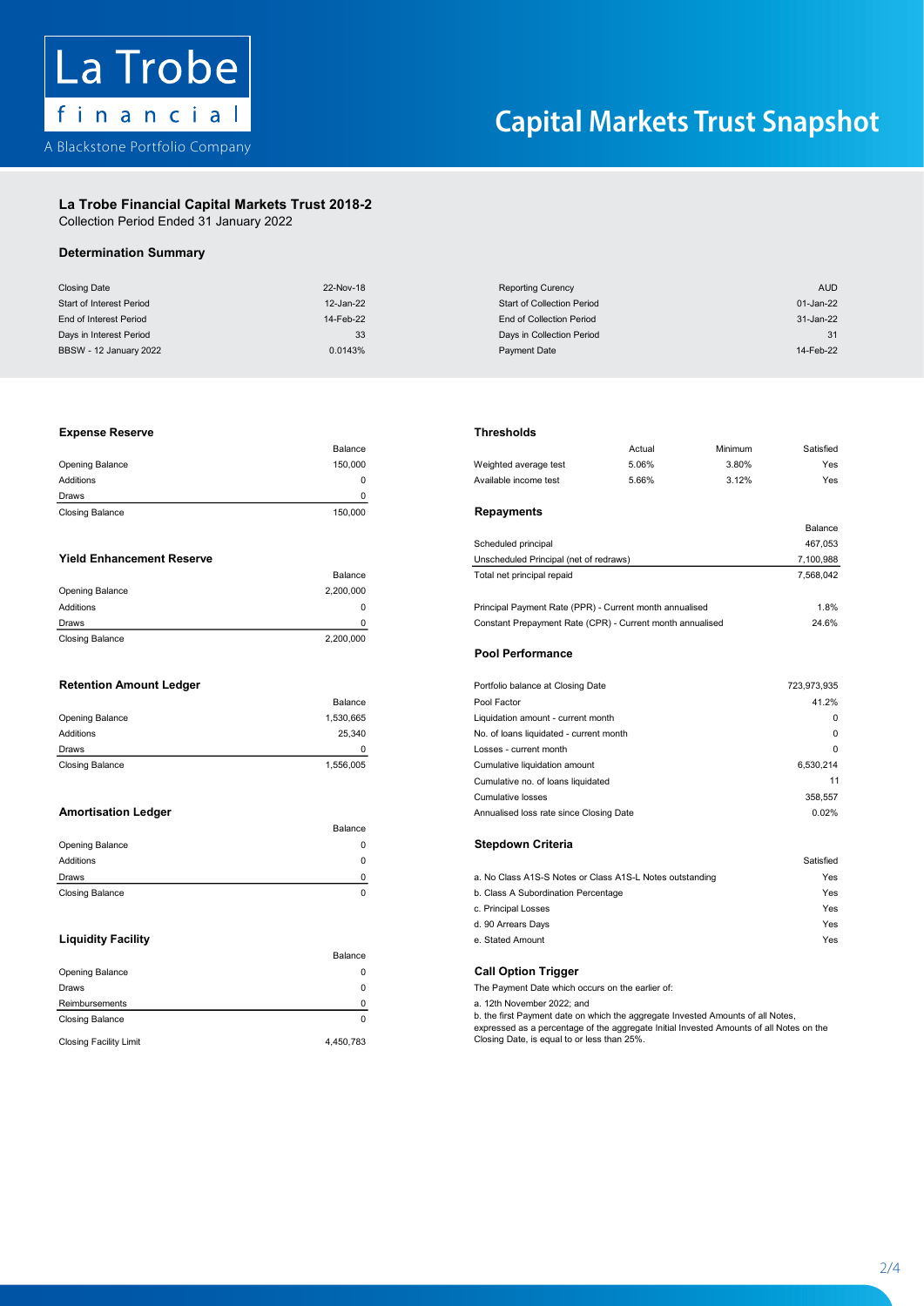

# La Trobe Financial Capital Markets Trust 2018-2 La Trobe Financial Capital Markets Trust 2018-2

Collection Period Ended 31 January 2022 Collection Period Ended 31 January 2022

# Determination Summary

| <b>Closing Date</b><br>22-Nov-18<br><b>Reporting Curency</b><br><b>Start of Collection Period</b><br>Start of Interest Period<br>12-Jan-22<br>End of Interest Period<br>14-Feb-22<br><b>End of Collection Period</b><br>33<br>Days in Interest Period<br>Days in Collection Period<br>0.0143%<br><b>BBSW - 12 January 2022</b><br><b>Payment Date</b><br><b>Thresholds</b><br><b>Expense Reserve</b><br>Balance<br>Opening Balance<br>150,000<br>Weighted average test<br>Additions<br>0<br>Available income test<br>$\mathbf 0$<br>Draws<br><b>Repayments</b><br>150,000<br><b>Closing Balance</b><br>Scheduled principal<br><b>Yield Enhancement Reserve</b><br>Unscheduled Principal (net of redraws)<br>Balance<br>Total net principal repaid<br>2,200,000<br>Opening Balance<br>Additions<br>$\mathbf 0$<br>Principal Payment Rate (PPR) - Current month annualised<br>Constant Prepayment Rate (CPR) - Current month annualised<br>0<br>Draws<br><b>Closing Balance</b><br>2,200,000<br><b>Pool Performance</b><br><b>Retention Amount Ledger</b><br>Portfolio balance at Closing Date<br>Pool Factor<br>Balance<br>Opening Balance<br>1,530,665<br>Liquidation amount - current month<br>Additions<br>25,340<br>No. of loans liquidated - current month | Actual<br>5.06%<br>5.66% | Minimum<br>3.80%<br>3.12% | <b>AUD</b><br>01-Jan-22<br>31-Jan-22<br>31<br>14-Feb-22<br>Satisfied<br>Yes<br>Yes<br>Balance<br>467,053<br>7,100,988<br>7,568,042<br>1.8%<br>24.6%<br>723,973,935<br>41.2% |
|----------------------------------------------------------------------------------------------------------------------------------------------------------------------------------------------------------------------------------------------------------------------------------------------------------------------------------------------------------------------------------------------------------------------------------------------------------------------------------------------------------------------------------------------------------------------------------------------------------------------------------------------------------------------------------------------------------------------------------------------------------------------------------------------------------------------------------------------------------------------------------------------------------------------------------------------------------------------------------------------------------------------------------------------------------------------------------------------------------------------------------------------------------------------------------------------------------------------------------------------------------------|--------------------------|---------------------------|-----------------------------------------------------------------------------------------------------------------------------------------------------------------------------|
|                                                                                                                                                                                                                                                                                                                                                                                                                                                                                                                                                                                                                                                                                                                                                                                                                                                                                                                                                                                                                                                                                                                                                                                                                                                                |                          |                           |                                                                                                                                                                             |
|                                                                                                                                                                                                                                                                                                                                                                                                                                                                                                                                                                                                                                                                                                                                                                                                                                                                                                                                                                                                                                                                                                                                                                                                                                                                |                          |                           |                                                                                                                                                                             |
|                                                                                                                                                                                                                                                                                                                                                                                                                                                                                                                                                                                                                                                                                                                                                                                                                                                                                                                                                                                                                                                                                                                                                                                                                                                                |                          |                           |                                                                                                                                                                             |
|                                                                                                                                                                                                                                                                                                                                                                                                                                                                                                                                                                                                                                                                                                                                                                                                                                                                                                                                                                                                                                                                                                                                                                                                                                                                |                          |                           |                                                                                                                                                                             |
|                                                                                                                                                                                                                                                                                                                                                                                                                                                                                                                                                                                                                                                                                                                                                                                                                                                                                                                                                                                                                                                                                                                                                                                                                                                                |                          |                           |                                                                                                                                                                             |
|                                                                                                                                                                                                                                                                                                                                                                                                                                                                                                                                                                                                                                                                                                                                                                                                                                                                                                                                                                                                                                                                                                                                                                                                                                                                |                          |                           |                                                                                                                                                                             |
|                                                                                                                                                                                                                                                                                                                                                                                                                                                                                                                                                                                                                                                                                                                                                                                                                                                                                                                                                                                                                                                                                                                                                                                                                                                                |                          |                           |                                                                                                                                                                             |
|                                                                                                                                                                                                                                                                                                                                                                                                                                                                                                                                                                                                                                                                                                                                                                                                                                                                                                                                                                                                                                                                                                                                                                                                                                                                |                          |                           |                                                                                                                                                                             |
|                                                                                                                                                                                                                                                                                                                                                                                                                                                                                                                                                                                                                                                                                                                                                                                                                                                                                                                                                                                                                                                                                                                                                                                                                                                                |                          |                           |                                                                                                                                                                             |
|                                                                                                                                                                                                                                                                                                                                                                                                                                                                                                                                                                                                                                                                                                                                                                                                                                                                                                                                                                                                                                                                                                                                                                                                                                                                |                          |                           |                                                                                                                                                                             |
|                                                                                                                                                                                                                                                                                                                                                                                                                                                                                                                                                                                                                                                                                                                                                                                                                                                                                                                                                                                                                                                                                                                                                                                                                                                                |                          |                           |                                                                                                                                                                             |
|                                                                                                                                                                                                                                                                                                                                                                                                                                                                                                                                                                                                                                                                                                                                                                                                                                                                                                                                                                                                                                                                                                                                                                                                                                                                |                          |                           |                                                                                                                                                                             |
|                                                                                                                                                                                                                                                                                                                                                                                                                                                                                                                                                                                                                                                                                                                                                                                                                                                                                                                                                                                                                                                                                                                                                                                                                                                                |                          |                           |                                                                                                                                                                             |
|                                                                                                                                                                                                                                                                                                                                                                                                                                                                                                                                                                                                                                                                                                                                                                                                                                                                                                                                                                                                                                                                                                                                                                                                                                                                |                          |                           |                                                                                                                                                                             |
|                                                                                                                                                                                                                                                                                                                                                                                                                                                                                                                                                                                                                                                                                                                                                                                                                                                                                                                                                                                                                                                                                                                                                                                                                                                                |                          |                           |                                                                                                                                                                             |
|                                                                                                                                                                                                                                                                                                                                                                                                                                                                                                                                                                                                                                                                                                                                                                                                                                                                                                                                                                                                                                                                                                                                                                                                                                                                |                          |                           |                                                                                                                                                                             |
|                                                                                                                                                                                                                                                                                                                                                                                                                                                                                                                                                                                                                                                                                                                                                                                                                                                                                                                                                                                                                                                                                                                                                                                                                                                                |                          |                           |                                                                                                                                                                             |
|                                                                                                                                                                                                                                                                                                                                                                                                                                                                                                                                                                                                                                                                                                                                                                                                                                                                                                                                                                                                                                                                                                                                                                                                                                                                |                          |                           |                                                                                                                                                                             |
|                                                                                                                                                                                                                                                                                                                                                                                                                                                                                                                                                                                                                                                                                                                                                                                                                                                                                                                                                                                                                                                                                                                                                                                                                                                                |                          |                           |                                                                                                                                                                             |
|                                                                                                                                                                                                                                                                                                                                                                                                                                                                                                                                                                                                                                                                                                                                                                                                                                                                                                                                                                                                                                                                                                                                                                                                                                                                |                          |                           |                                                                                                                                                                             |
|                                                                                                                                                                                                                                                                                                                                                                                                                                                                                                                                                                                                                                                                                                                                                                                                                                                                                                                                                                                                                                                                                                                                                                                                                                                                |                          |                           |                                                                                                                                                                             |
|                                                                                                                                                                                                                                                                                                                                                                                                                                                                                                                                                                                                                                                                                                                                                                                                                                                                                                                                                                                                                                                                                                                                                                                                                                                                |                          |                           |                                                                                                                                                                             |
|                                                                                                                                                                                                                                                                                                                                                                                                                                                                                                                                                                                                                                                                                                                                                                                                                                                                                                                                                                                                                                                                                                                                                                                                                                                                |                          |                           |                                                                                                                                                                             |
|                                                                                                                                                                                                                                                                                                                                                                                                                                                                                                                                                                                                                                                                                                                                                                                                                                                                                                                                                                                                                                                                                                                                                                                                                                                                |                          |                           | $\pmb{0}$                                                                                                                                                                   |
|                                                                                                                                                                                                                                                                                                                                                                                                                                                                                                                                                                                                                                                                                                                                                                                                                                                                                                                                                                                                                                                                                                                                                                                                                                                                |                          |                           | $\mathbf 0$                                                                                                                                                                 |
| 0<br>Losses - current month<br>Draws                                                                                                                                                                                                                                                                                                                                                                                                                                                                                                                                                                                                                                                                                                                                                                                                                                                                                                                                                                                                                                                                                                                                                                                                                           |                          |                           | $\Omega$                                                                                                                                                                    |
| 1,556,005<br><b>Closing Balance</b><br>Cumulative liquidation amount                                                                                                                                                                                                                                                                                                                                                                                                                                                                                                                                                                                                                                                                                                                                                                                                                                                                                                                                                                                                                                                                                                                                                                                           |                          |                           | 6,530,214                                                                                                                                                                   |
| Cumulative no. of loans liquidated                                                                                                                                                                                                                                                                                                                                                                                                                                                                                                                                                                                                                                                                                                                                                                                                                                                                                                                                                                                                                                                                                                                                                                                                                             |                          |                           | 11                                                                                                                                                                          |
|                                                                                                                                                                                                                                                                                                                                                                                                                                                                                                                                                                                                                                                                                                                                                                                                                                                                                                                                                                                                                                                                                                                                                                                                                                                                |                          |                           |                                                                                                                                                                             |
| <b>Cumulative losses</b>                                                                                                                                                                                                                                                                                                                                                                                                                                                                                                                                                                                                                                                                                                                                                                                                                                                                                                                                                                                                                                                                                                                                                                                                                                       |                          |                           | 358,557                                                                                                                                                                     |
| <b>Amortisation Ledger</b><br>Annualised loss rate since Closing Date                                                                                                                                                                                                                                                                                                                                                                                                                                                                                                                                                                                                                                                                                                                                                                                                                                                                                                                                                                                                                                                                                                                                                                                          |                          |                           | 0.02%                                                                                                                                                                       |
| Balance                                                                                                                                                                                                                                                                                                                                                                                                                                                                                                                                                                                                                                                                                                                                                                                                                                                                                                                                                                                                                                                                                                                                                                                                                                                        |                          |                           |                                                                                                                                                                             |
| <b>Stepdown Criteria</b><br>Opening Balance<br>0                                                                                                                                                                                                                                                                                                                                                                                                                                                                                                                                                                                                                                                                                                                                                                                                                                                                                                                                                                                                                                                                                                                                                                                                               |                          |                           |                                                                                                                                                                             |
| Additions<br>$\mathbf 0$                                                                                                                                                                                                                                                                                                                                                                                                                                                                                                                                                                                                                                                                                                                                                                                                                                                                                                                                                                                                                                                                                                                                                                                                                                       |                          |                           | Satisfied                                                                                                                                                                   |
| $\pmb{0}$<br>a. No Class A1S-S Notes or Class A1S-L Notes outstanding<br>Draws                                                                                                                                                                                                                                                                                                                                                                                                                                                                                                                                                                                                                                                                                                                                                                                                                                                                                                                                                                                                                                                                                                                                                                                 |                          |                           | Yes                                                                                                                                                                         |
| $\mathbf 0$<br><b>Closing Balance</b><br>b. Class A Subordination Percentage                                                                                                                                                                                                                                                                                                                                                                                                                                                                                                                                                                                                                                                                                                                                                                                                                                                                                                                                                                                                                                                                                                                                                                                   |                          |                           | Yes                                                                                                                                                                         |
| c. Principal Losses                                                                                                                                                                                                                                                                                                                                                                                                                                                                                                                                                                                                                                                                                                                                                                                                                                                                                                                                                                                                                                                                                                                                                                                                                                            |                          |                           | Yes                                                                                                                                                                         |
| d. 90 Arrears Days                                                                                                                                                                                                                                                                                                                                                                                                                                                                                                                                                                                                                                                                                                                                                                                                                                                                                                                                                                                                                                                                                                                                                                                                                                             |                          |                           | Yes                                                                                                                                                                         |
| <b>Liquidity Facility</b><br>e. Stated Amount                                                                                                                                                                                                                                                                                                                                                                                                                                                                                                                                                                                                                                                                                                                                                                                                                                                                                                                                                                                                                                                                                                                                                                                                                  |                          |                           | Yes                                                                                                                                                                         |
| Balance                                                                                                                                                                                                                                                                                                                                                                                                                                                                                                                                                                                                                                                                                                                                                                                                                                                                                                                                                                                                                                                                                                                                                                                                                                                        |                          |                           |                                                                                                                                                                             |
| <b>Call Option Trigger</b><br>Opening Balance<br>0                                                                                                                                                                                                                                                                                                                                                                                                                                                                                                                                                                                                                                                                                                                                                                                                                                                                                                                                                                                                                                                                                                                                                                                                             |                          |                           |                                                                                                                                                                             |
| $\mathbf 0$<br>Draws<br>The Payment Date which occurs on the earlier of:                                                                                                                                                                                                                                                                                                                                                                                                                                                                                                                                                                                                                                                                                                                                                                                                                                                                                                                                                                                                                                                                                                                                                                                       |                          |                           |                                                                                                                                                                             |
| Reimbursements<br>0<br>a. 12th November 2022; and                                                                                                                                                                                                                                                                                                                                                                                                                                                                                                                                                                                                                                                                                                                                                                                                                                                                                                                                                                                                                                                                                                                                                                                                              |                          |                           |                                                                                                                                                                             |
| b. the first Payment date on which the aggregate Invested Amounts of all Notes,<br>$\mathbf 0$<br><b>Closing Balance</b>                                                                                                                                                                                                                                                                                                                                                                                                                                                                                                                                                                                                                                                                                                                                                                                                                                                                                                                                                                                                                                                                                                                                       |                          |                           |                                                                                                                                                                             |
| expressed as a percentage of the aggregate Initial Invested Amounts of all Notes on the<br>Closing Date, is equal to or less than 25%.<br>4,450,783<br><b>Closing Facility Limit</b>                                                                                                                                                                                                                                                                                                                                                                                                                                                                                                                                                                                                                                                                                                                                                                                                                                                                                                                                                                                                                                                                           |                          |                           |                                                                                                                                                                             |

### Opening Balance 150,000 Weighted average test 5.06% 3.80% Yes Expense Reserve Thresholds

| <b>Closing Balance</b> | 150.000 | Repayments       |
|------------------------|---------|------------------|
| Draws                  |         |                  |
| Additions              |         | Available income |
| <b>Opening Balance</b> | 150.000 | Weighted averag  |
|                        | Balance |                  |

|                        |           | <b>Pool Performance</b>                                   |          |
|------------------------|-----------|-----------------------------------------------------------|----------|
| <b>Closing Balance</b> | 2.200.000 |                                                           |          |
| Draws                  | O.        | Constant Prepayment Rate (CPR) - Current month annualised | 24.6%    |
| Additions              | 0         | Principal Payment Rate (PPR) - Current month annualised   | 1.8%     |
| Opening Balance        | 2.200.000 |                                                           |          |
|                        | Balance   | I otal net principal repaid                               | .568.042 |

|                        | Balance   |
|------------------------|-----------|
| Opening Balance        | 1,530,665 |
| Additions              | 25.340    |
| Draws                  | O         |
| <b>Closing Balance</b> | 1,556,005 |

|                        | Balance |                                                          |           |
|------------------------|---------|----------------------------------------------------------|-----------|
| <b>Opening Balance</b> |         | <b>Stepdown Criteria</b>                                 |           |
| Additions              |         |                                                          | Satisfied |
| Draws                  |         | a. No Class A1S-S Notes or Class A1S-L Notes outstanding | Yes       |
| <b>Closing Balance</b> |         | b. Class A Subordination Percentage                      | Yes       |

|                               | Balance   |                                                                                                                                                                            |
|-------------------------------|-----------|----------------------------------------------------------------------------------------------------------------------------------------------------------------------------|
| <b>Opening Balance</b>        |           | <b>Call Option Trigger</b>                                                                                                                                                 |
| Draws                         |           | The Payment Date which occurs on the earlier of:                                                                                                                           |
| Reimbursements                |           | a. 12th November 2022; and                                                                                                                                                 |
| <b>Closing Balance</b>        |           | b. the first Payment date on which the aggregate Invested Amounts of all Notes,<br>expressed as a percentage of the aggregate Initial Invested Amounts of all Notes on the |
| <b>Closing Facility Limit</b> | 4.450.783 | Closing Date, is equal to or less than 25%.                                                                                                                                |

### the serve that the contract of the contract of the contract of the contract of the contract of the contract of the contract of the contract of the contract of the contract of the contract of the contract of the contract of

|                                  | Balance   |                                                         | Actual | Minimum | Satisfied |
|----------------------------------|-----------|---------------------------------------------------------|--------|---------|-----------|
| Opening Balance                  | 150,000   | Weighted average test                                   | 5.06%  | 3.80%   | Yes       |
| <b>Additions</b>                 | 0         | Available income test                                   | 5.66%  | 3.12%   | Yes       |
| Draws                            | 0         |                                                         |        |         |           |
| <b>Closing Balance</b>           | 150,000   | Repayments                                              |        |         |           |
|                                  |           |                                                         |        |         | Balance   |
|                                  |           | Scheduled principal                                     |        |         | 467,053   |
| <b>Yield Enhancement Reserve</b> |           | Unscheduled Principal (net of redraws)                  |        |         | 7,100,988 |
|                                  | Balance   | Total net principal repaid                              |        |         | 7,568,042 |
| Opening Balance                  | 2,200,000 |                                                         |        |         |           |
| <b>Additions</b>                 | 0         | Principal Payment Rate (PPR) - Current month annualised |        |         | 1.8%      |
|                                  |           |                                                         |        |         | .         |

### Retention Amount Ledger Portfolio balance at Closing Date 723,973,935 Pool Performance

| <b>Retention Amount Ledger</b> |           | Portfolio balance at Closing Date       | 723,973,935 |
|--------------------------------|-----------|-----------------------------------------|-------------|
|                                | Balance   | Pool Factor                             | 41.2%       |
| Opening Balance                | 1,530,665 | Liquidation amount - current month      | $\Omega$    |
| Additions                      | 25.340    | No. of loans liquidated - current month | $\Omega$    |
| <b>Draws</b>                   | 0         | Losses - current month                  | $\Omega$    |
| <b>Closing Balance</b>         | 1,556,005 | Cumulative liquidation amount           | 6,530,214   |
|                                |           | Cumulative no. of loans liquidated      | 11          |
|                                |           | <b>Cumulative losses</b>                | 358,557     |
| <b>Amortisation Ledger</b>     |           | Annualised loss rate since Closing Date | 0.02%       |

| <b>Draws</b>              |                                     | a. No Class A1S-S Notes or Class A1S-L Notes outstanding | Yes |
|---------------------------|-------------------------------------|----------------------------------------------------------|-----|
| Closing Balance           | b. Class A Subordination Percentage |                                                          | Yes |
|                           |                                     | c. Principal Losses                                      | Yes |
|                           |                                     | d. 90 Arrears Days                                       | Yes |
| <b>Liquidity Facility</b> |                                     | e. Stated Amount                                         | Yes |

2 - 4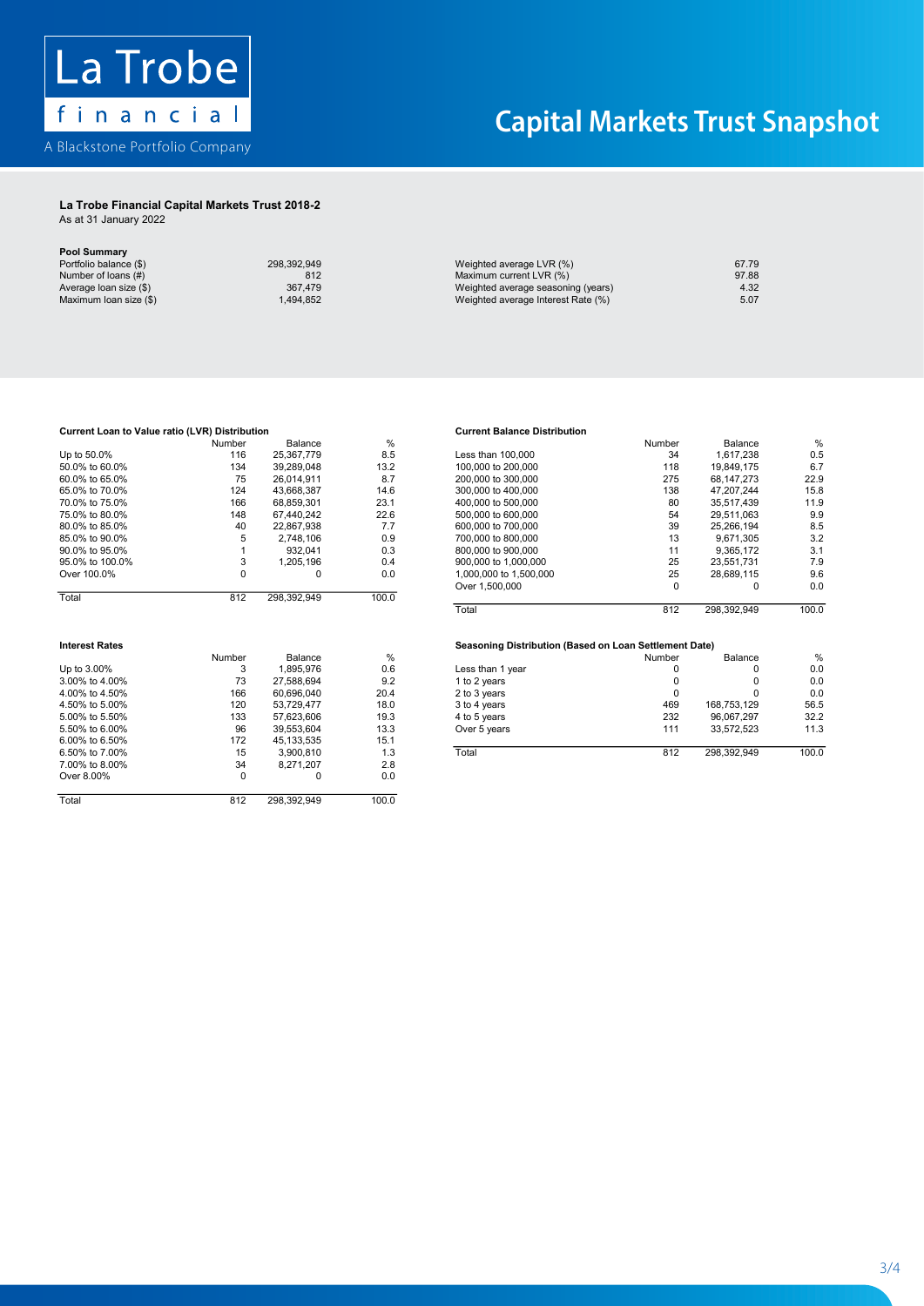

## La Trobe Financial Capital Markets Trust 2018-2 La Trobe Financial Capital Markets Trust 2018-2

As at 31 January 2022 As at 31 January 2022

| <b>Pool Summary</b><br>Portfolio balance (\$) | 298,392,949 |                                    | 67.79 |
|-----------------------------------------------|-------------|------------------------------------|-------|
|                                               |             | Weighted average LVR (%)           |       |
| Number of loans (#)                           | 812         | Maximum current LVR (%)            | 97.88 |
| Average loan size (\$)                        | 367.479     | Weighted average seasoning (years) | 4.32  |
| Maximum loan size (\$)                        | .494.852    | Weighted average Interest Rate (%) | 5.07  |

| Current Loan to Value ratio (LVR) Distribution |             |             |       | <b>Current Balance Distribution</b>                    |          |              |       |
|------------------------------------------------|-------------|-------------|-------|--------------------------------------------------------|----------|--------------|-------|
|                                                | Number      | Balance     | %     |                                                        | Number   | Balance      | %     |
| Up to 50.0%                                    | 116         | 25,367,779  | 8.5   | Less than 100,000                                      | 34       | 1,617,238    | 0.5   |
| 50.0% to 60.0%                                 | 134         | 39,289,048  | 13.2  | 100,000 to 200,000                                     | 118      | 19,849,175   | 6.7   |
| 60.0% to 65.0%                                 | 75          | 26,014,911  | 8.7   | 200,000 to 300,000                                     | 275      | 68, 147, 273 | 22.9  |
| 65.0% to 70.0%                                 | 124         | 43,668,387  | 14.6  | 300,000 to 400,000                                     | 138      | 47,207,244   | 15.8  |
| 70.0% to 75.0%                                 | 166         | 68.859.301  | 23.1  | 400,000 to 500,000                                     | 80       | 35.517.439   | 11.9  |
| 75.0% to 80.0%                                 | 148         | 67,440,242  | 22.6  | 500,000 to 600,000                                     | 54       | 29,511,063   | 9.9   |
| 80.0% to 85.0%                                 | 40          | 22.867.938  | 7.7   | 600,000 to 700,000                                     | 39       | 25.266.194   | 8.5   |
| 85.0% to 90.0%                                 | 5           | 2,748,106   | 0.9   | 700,000 to 800,000                                     | 13       | 9.671.305    | 3.2   |
| 90.0% to 95.0%                                 |             | 932,041     | 0.3   | 800,000 to 900,000                                     | 11       | 9,365,172    | 3.1   |
| 95.0% to 100.0%                                | 3           | 1,205,196   | 0.4   | 900,000 to 1,000,000                                   | 25       | 23,551,731   | 7.9   |
| Over 100.0%                                    | $\mathbf 0$ | 0           | 0.0   | 1,000,000 to 1,500,000                                 | 25       | 28,689,115   | 9.6   |
|                                                |             |             |       | Over 1,500,000                                         | 0        | 0            | 0.0   |
| Total                                          | 812         | 298,392,949 | 100.0 |                                                        |          |              |       |
|                                                |             |             |       | Total                                                  | 812      | 298,392,949  | 100.0 |
| <b>Interest Rates</b>                          |             |             |       | Seasoning Distribution (Based on Loan Settlement Date) |          |              |       |
|                                                | Number      | Balance     | %     |                                                        | Number   | Balance      | %     |
| Up to 3.00%                                    | 3           | 1,895,976   | 0.6   | Less than 1 year                                       | 0        | 0            | 0.0   |
| 3.00% to 4.00%                                 | 73          | 27.588.694  | 9.2   | 1 to 2 years                                           | 0        | 0            | 0.0   |
| 4.00% to 4.50%                                 | 166         | 60,696,040  | 20.4  | 2 to 3 years                                           | $\Omega$ | <sup>0</sup> | 0.0   |
| 4.50% to 5.00%                                 | 120         | 53.729.477  | 18.0  | 3 to 4 years                                           | 469      | 168.753.129  | 56.5  |
| 5.00% to 5.50%                                 | 133         | 57,623,606  | 19.3  | 4 to 5 years                                           | 232      | 96,067,297   | 32.2  |
| 5.50% to 6.00%                                 | 96          | 39,553,604  | 13.3  | Over 5 years                                           | 111      | 33,572,523   | 11.3  |
| 6.00% to 6.50%                                 | 172         | 45,133,535  | 15.1  |                                                        |          |              |       |
| 6.50% to 7.00%                                 | 15          | 3,900,810   | 1.3   | Total                                                  | 812      | 298,392,949  | 100.0 |
| 7.00% to 8.00%                                 | 34          | 8,271,207   | 2.8   |                                                        |          |              |       |
| Over 8.00%                                     | 0           | 0           | 0.0   |                                                        |          |              |       |
| Total                                          | 812         | 298,392,949 | 100.0 |                                                        |          |              |       |

|                 | Number | Balance     | %     |                        | Number | Balance     | $\%$  |
|-----------------|--------|-------------|-------|------------------------|--------|-------------|-------|
| Up to 50.0%     | 116    | 25.367.779  | 8.5   | Less than 100,000      | 34     | 1.617.238   | 0.5   |
| 50.0% to 60.0%  | 134    | 39.289.048  | 13.2  | 100,000 to 200,000     | 118    | 19.849.175  | 6.7   |
| 60.0% to 65.0%  | 75     | 26.014.911  | 8.7   | 200,000 to 300,000     | 275    | 68.147.273  | 22.9  |
| 65.0% to 70.0%  | 124    | 43.668.387  | 14.6  | 300,000 to 400,000     | 138    | 47.207.244  | 15.8  |
| 70.0% to 75.0%  | 166    | 68.859.301  | 23.1  | 400,000 to 500,000     | 80     | 35.517.439  | 11.9  |
| 75.0% to 80.0%  | 148    | 67.440.242  | 22.6  | 500,000 to 600,000     | 54     | 29.511.063  | 9.9   |
| 80.0% to 85.0%  | 40     | 22.867.938  | 7.7   | 600,000 to 700,000     | 39     | 25.266.194  | 8.5   |
| 85.0% to 90.0%  | 5.     | 2.748.106   | 0.9   | 700,000 to 800,000     | 13     | 9.671.305   | 3.2   |
| 90.0% to 95.0%  |        | 932.041     | 0.3   | 800,000 to 900,000     | 11     | 9.365.172   | 3.1   |
| 95.0% to 100.0% |        | 1.205.196   | 0.4   | 900,000 to 1,000,000   | 25     | 23.551.731  | 7.9   |
| Over 100.0%     |        |             | 0.0   | 1.000.000 to 1.500.000 | 25     | 28.689.115  | 9.6   |
|                 |        |             |       | Over 1,500,000         | 0      |             | 0.0   |
| Total           | 812    | 298,392,949 | 100.0 |                        |        |             |       |
|                 |        |             |       | Total                  | 812    | 208 302 040 | 100 Q |

|                   | Number        | Balance    | $\%$          |                  | Number | Balance     | $\%$  |
|-------------------|---------------|------------|---------------|------------------|--------|-------------|-------|
| Up to 3.00%       |               | .895.976   | 0.6           | Less than 1 year |        |             | 0.0   |
| 3.00% to 4.00%    | 73            | 27.588.694 | 9.2           | 1 to 2 years     |        | 0           | 0.0   |
| 4.00% to 4.50%    | 166           | 60.696.040 | 20.4          | 2 to 3 years     |        |             | 0.0   |
| 4.50% to 5.00%    | 120           | 53.729.477 | 18.0          | 3 to 4 years     | 469    | 168.753.129 | 56.5  |
| 5.00% to 5.50%    | 133           | 57.623.606 | 19.3          | 4 to 5 years     | 232    | 96.067.297  | 32.2  |
| 5.50% to 6.00%    | 96            | 39.553.604 | 13.3          | Over 5 years     | 111    | 33.572.523  | 11.3  |
| 6.00% to 6.50%    | 172           | 45.133.535 | 15.1          |                  |        |             |       |
| 6.50% to 7.00%    | 15            | 3.900.810  | 1.3           | Total            | 812    | 298.392.949 | 100.0 |
| $7.0001 + 0.0001$ | $\sim$ $\sim$ | 0.071.007  | $\sim$ $\sim$ |                  |        |             |       |